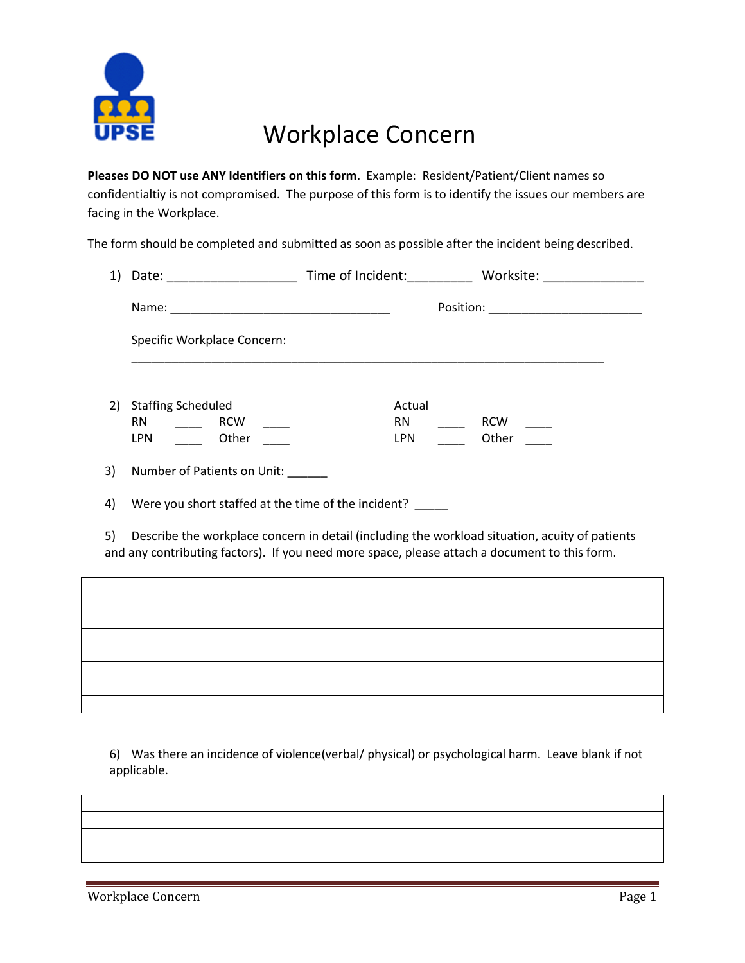

## Workplace Concern

**Pleases DO NOT use ANY Identifiers on this form**. Example: Resident/Patient/Client names so confidentialtiy is not compromised. The purpose of this form is to identify the issues our members are facing in the Workplace.

The form should be completed and submitted as soon as possible after the incident being described.

|    | Specific Workplace Concern:                             |                            |                                                                                                                                                                                                 |
|----|---------------------------------------------------------|----------------------------|-------------------------------------------------------------------------------------------------------------------------------------------------------------------------------------------------|
|    | 2) Staffing Scheduled<br>RN _____ RCW ____<br>LPN Other | Actual<br>$RN \sim$<br>LPN | RCW<br>Other                                                                                                                                                                                    |
| 3) | Number of Patients on Unit: ______                      |                            |                                                                                                                                                                                                 |
| 4) | Were you short staffed at the time of the incident?     |                            |                                                                                                                                                                                                 |
| 5) |                                                         |                            | Describe the workplace concern in detail (including the workload situation, acuity of patients<br>and any contributing factors). If you need more space, please attach a document to this form. |
|    |                                                         |                            |                                                                                                                                                                                                 |
|    |                                                         |                            |                                                                                                                                                                                                 |
|    |                                                         |                            |                                                                                                                                                                                                 |
|    |                                                         |                            |                                                                                                                                                                                                 |
|    |                                                         |                            |                                                                                                                                                                                                 |
|    |                                                         |                            |                                                                                                                                                                                                 |

6) Was there an incidence of violence(verbal/ physical) or psychological harm. Leave blank if not applicable.